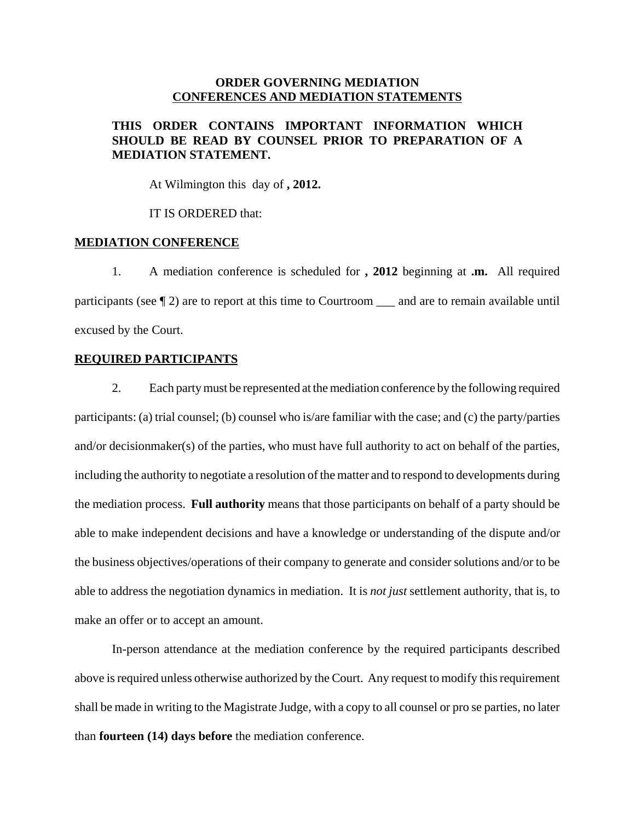## **ORDER GOVERNING MEDIATION CONFERENCES AND MEDIATION STATEMENTS**

# **THIS ORDER CONTAINS IMPORTANT INFORMATION WHICH SHOULD BE READ BY COUNSEL PRIOR TO PREPARATION OF A MEDIATION STATEMENT.**

At Wilmington this day of **, 2012.** 

IT IS ORDERED that:

### **MEDIATION CONFERENCE**

1. A mediation conference is scheduled for **, 2012** beginning at **.m.** All required participants (see  $\llbracket 2$ ) are to report at this time to Courtroom \_\_\_ and are to remain available until excused by the Court.

### **REQUIRED PARTICIPANTS**

2. Each party must be represented at the mediation conference by the following required participants: (a) trial counsel; (b) counsel who is/are familiar with the case; and (c) the party/parties and/or decisionmaker(s) of the parties, who must have full authority to act on behalf of the parties, including the authority to negotiate a resolution of the matter and to respond to developments during the mediation process. **Full authority** means that those participants on behalf of a party should be able to make independent decisions and have a knowledge or understanding of the dispute and/or the business objectives/operations of their company to generate and consider solutions and/or to be able to address the negotiation dynamics in mediation. It is *not just* settlement authority, that is, to make an offer or to accept an amount.

In-person attendance at the mediation conference by the required participants described above is required unless otherwise authorized by the Court. Any request to modify this requirement shall be made in writing to the Magistrate Judge, with a copy to all counsel or pro se parties, no later than **fourteen (14) days before** the mediation conference.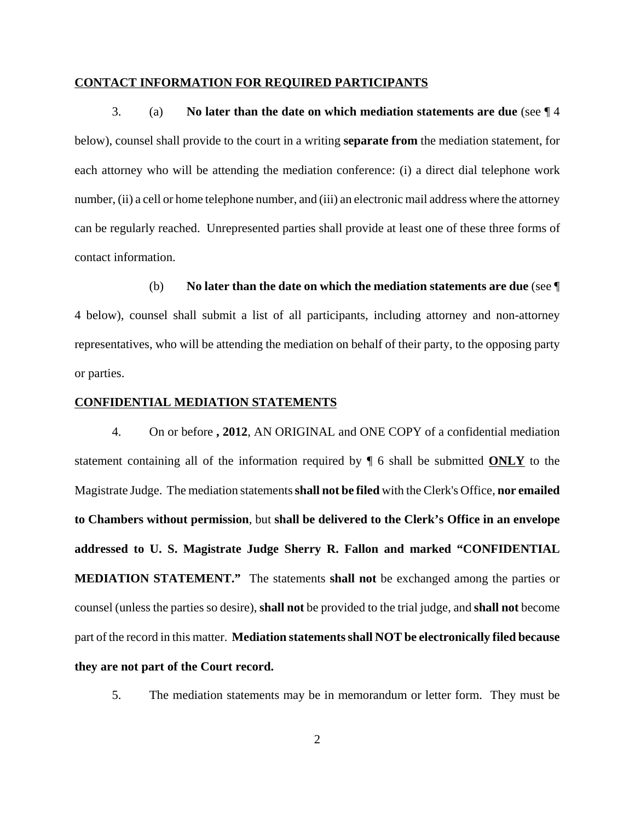#### **CONTACT INFORMATION FOR REQUIRED PARTICIPANTS**

3. (a) **No later than the date on which mediation statements are due** (see ¶ 4 below), counsel shall provide to the court in a writing **separate from** the mediation statement, for each attorney who will be attending the mediation conference: (i) a direct dial telephone work number, (ii) a cell or home telephone number, and (iii) an electronic mail address where the attorney can be regularly reached. Unrepresented parties shall provide at least one of these three forms of contact information.

(b) **No later than the date on which the mediation statements are due** (see ¶ 4 below), counsel shall submit a list of all participants, including attorney and non-attorney representatives, who will be attending the mediation on behalf of their party, to the opposing party or parties.

#### **CONFIDENTIAL MEDIATION STATEMENTS**

4. On or before **, 2012**, AN ORIGINAL and ONE COPY of a confidential mediation statement containing all of the information required by ¶ 6 shall be submitted **ONLY** to the Magistrate Judge. The mediation statements **shall not be filed** with the Clerk's Office, **nor emailed to Chambers without permission**, but **shall be delivered to the Clerk's Office in an envelope addressed to U. S. Magistrate Judge Sherry R. Fallon and marked "CONFIDENTIAL MEDIATION STATEMENT."** The statements **shall not** be exchanged among the parties or counsel (unless the parties so desire), **shall not** be provided to the trial judge, and **shall not** become part of the record in this matter. **Mediation statements shall NOT be electronically filed because they are not part of the Court record.**

5. The mediation statements may be in memorandum or letter form. They must be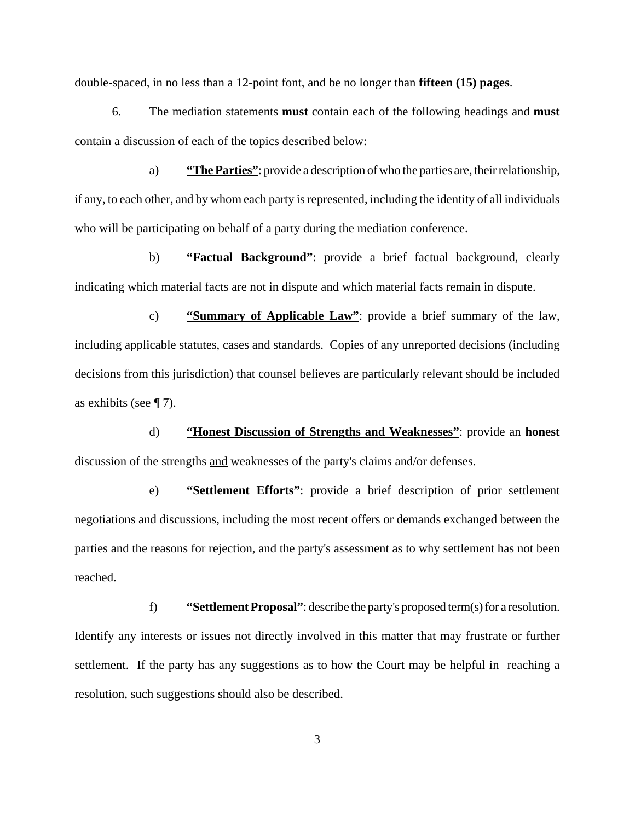double-spaced, in no less than a 12-point font, and be no longer than **fifteen (15) pages**.

6. The mediation statements **must** contain each of the following headings and **must** contain a discussion of each of the topics described below:

a) **"The Parties"**: provide a description of who the parties are, their relationship, if any, to each other, and by whom each party is represented, including the identity of all individuals who will be participating on behalf of a party during the mediation conference.

b) **"Factual Background"**: provide a brief factual background, clearly indicating which material facts are not in dispute and which material facts remain in dispute.

c) **"Summary of Applicable Law"**: provide a brief summary of the law, including applicable statutes, cases and standards. Copies of any unreported decisions (including decisions from this jurisdiction) that counsel believes are particularly relevant should be included as exhibits (see  $\P$  7).

d) **"Honest Discussion of Strengths and Weaknesses"**: provide an **honest** discussion of the strengths and weaknesses of the party's claims and/or defenses.

e) **"Settlement Efforts"**: provide a brief description of prior settlement negotiations and discussions, including the most recent offers or demands exchanged between the parties and the reasons for rejection, and the party's assessment as to why settlement has not been reached.

f) **"Settlement Proposal"**: describe the party's proposed term(s) for a resolution. Identify any interests or issues not directly involved in this matter that may frustrate or further settlement. If the party has any suggestions as to how the Court may be helpful in reaching a resolution, such suggestions should also be described.

3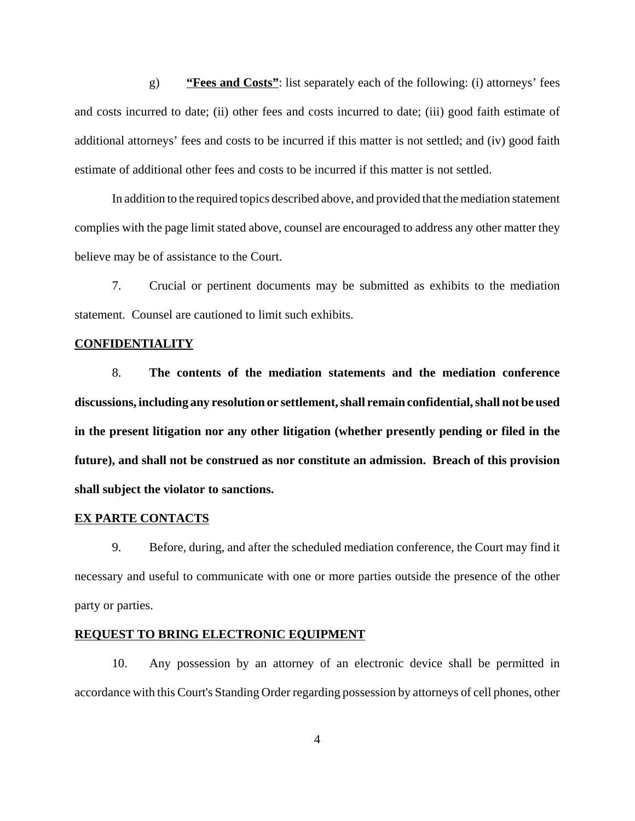g) **"Fees and Costs"**: list separately each of the following: (i) attorneys' fees and costs incurred to date; (ii) other fees and costs incurred to date; (iii) good faith estimate of additional attorneys' fees and costs to be incurred if this matter is not settled; and (iv) good faith estimate of additional other fees and costs to be incurred if this matter is not settled.

In addition to the required topics described above, and provided that the mediation statement complies with the page limit stated above, counsel are encouraged to address any other matter they believe may be of assistance to the Court.

7. Crucial or pertinent documents may be submitted as exhibits to the mediation statement. Counsel are cautioned to limit such exhibits.

### **CONFIDENTIALITY**

8. **The contents of the mediation statements and the mediation conference discussions, including any resolution or settlement, shall remain confidential, shall not be used in the present litigation nor any other litigation (whether presently pending or filed in the future), and shall not be construed as nor constitute an admission. Breach of this provision shall subject the violator to sanctions.** 

### **EX PARTE CONTACTS**

9. Before, during, and after the scheduled mediation conference, the Court may find it necessary and useful to communicate with one or more parties outside the presence of the other party or parties.

### **REQUEST TO BRING ELECTRONIC EQUIPMENT**

10. Any possession by an attorney of an electronic device shall be permitted in accordance with this Court's Standing Order regarding possession by attorneys of cell phones, other

4